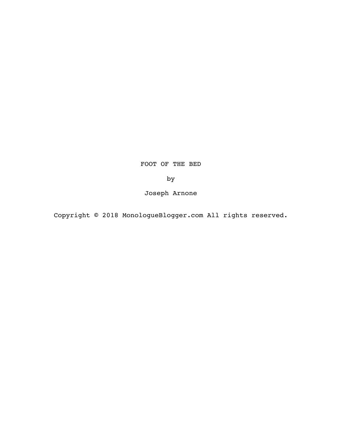FOOT OF THE BED

by

Joseph Arnone

Copyright © 2018 MonologueBlogger.com All rights reserved.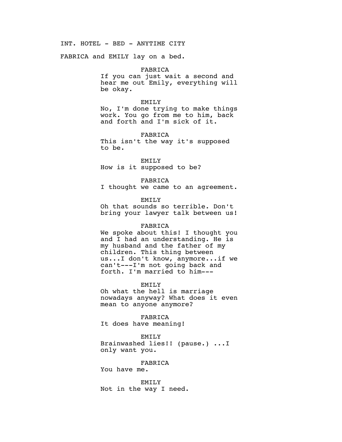INT. HOTEL - BED - ANYTIME CITY

FABRICA and EMILY lay on a bed.

#### FABRICA

If you can just wait a second and hear me out Emily, everything will be okay.

## EMILY

No, I'm done trying to make things work. You go from me to him, back and forth and I'm sick of it.

FABRICA This isn't the way it's supposed to be.

EMILY How is it supposed to be?

## FABRICA

I thought we came to an agreement.

### EMILY

Oh that sounds so terrible. Don't bring your lawyer talk between us!

## FABRICA

We spoke about this! I thought you and I had an understanding. He is my husband and the father of my children. This thing between us...I don't know, anymore...if we can't---I'm not going back and forth. I'm married to him---

# EMILY

Oh what the hell is marriage nowadays anyway? What does it even mean to anyone anymore?

FABRICA

It does have meaning!

# EMILY

Brainwashed lies!! (pause.) ...I only want you.

# FABRICA

You have me.

EMILY Not in the way I need.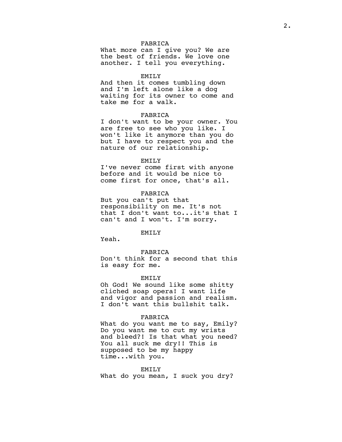## FABRICA

What more can I give you? We are the best of friends. We love one another. I tell you everything.

#### EMILY

And then it comes tumbling down and I'm left alone like a dog waiting for its owner to come and take me for a walk.

## FABRICA

I don't want to be your owner. You are free to see who you like. I won't like it anymore than you do but I have to respect you and the nature of our relationship.

### EMILY

I've never come first with anyone before and it would be nice to come first for once, that's all.

## FABRICA

But you can't put that responsibility on me. It's not that I don't want to...it's that I can't and I won't. I'm sorry.

#### EMILY

Yeah.

FABRICA

Don't think for a second that this is easy for me.

#### EMILY

Oh God! We sound like some shitty cliched soap opera! I want life and vigor and passion and realism. I don't want this bullshit talk.

### FABRICA

What do you want me to say, Emily? Do you want me to cut my wrists and bleed?! Is that what you need? You all suck me dry!! This is supposed to be my happy time...with you.

### EMILY

What do you mean, I suck you dry?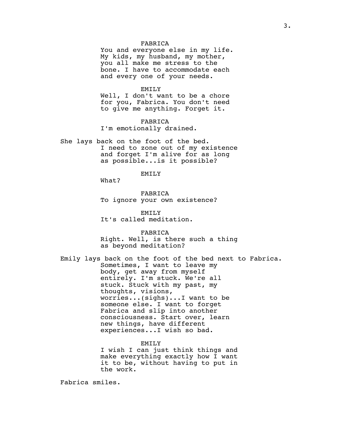## FABRICA

You and everyone else in my life. My kids, my husband, my mother, you all make me stress to the bone. I have to accommodate each and every one of your needs.

### EMILY

Well, I don't want to be a chore for you, Fabrica. You don't need to give me anything. Forget it.

FABRICA I'm emotionally drained.

She lays back on the foot of the bed. I need to zone out of my existence and forget I'm alive for as long as possible...is it possible?

EMILY

What?

FABRICA To ignore your own existence?

EMILY It's called meditation.

FABRICA Right. Well, is there such a thing as beyond meditation?

Emily lays back on the foot of the bed next to Fabrica. Sometimes, I want to leave my body, get away from myself entirely. I'm stuck. We're all stuck. Stuck with my past, my thoughts, visions, worries...(sighs)...I want to be someone else. I want to forget Fabrica and slip into another consciousness. Start over, learn new things, have different experiences...I wish so bad.

> EMILY I wish I can just think things and make everything exactly how I want it to be, without having to put in the work.

Fabrica smiles.